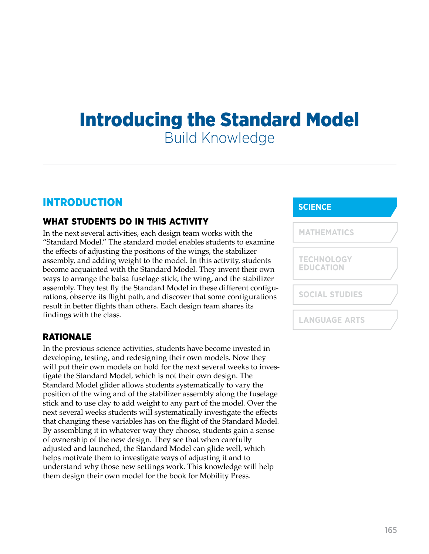# Introducing the Standard Model Build Knowledge

# INTRODUCTION

# WHAT STUDENTS DO IN THIS ACTIVITY

In the next several activities, each design team works with the "Standard Model." The standard model enables students to examine the effects of adjusting the positions of the wings, the stabilizer assembly, and adding weight to the model. In this activity, students become acquainted with the Standard Model. They invent their own ways to arrange the balsa fuselage stick, the wing, and the stabilizer assembly. They test fly the Standard Model in these different configurations, observe its flight path, and discover that some configurations result in better flights than others. Each design team shares its findings with the class.

# RATIONALE

In the previous science activities, students have become invested in developing, testing, and redesigning their own models. Now they will put their own models on hold for the next several weeks to investigate the Standard Model, which is not their own design. The Standard Model glider allows students systematically to vary the position of the wing and of the stabilizer assembly along the fuselage stick and to use clay to add weight to any part of the model. Over the next several weeks students will systematically investigate the effects that changing these variables has on the flight of the Standard Model. By assembling it in whatever way they choose, students gain a sense of ownership of the new design. They see that when carefully adjusted and launched, the Standard Model can glide well, which helps motivate them to investigate ways of adjusting it and to understand why those new settings work. This knowledge will help them design their own model for the book for Mobility Press.

# **SCIENCE**

| <b>MATHEMATICS</b>                    |  |
|---------------------------------------|--|
| <b>TECHNOLOGY</b><br><b>EDUCATION</b> |  |
| <b>SOCIAL STUDIES</b>                 |  |
| <b>LANGUAGE ARTS</b>                  |  |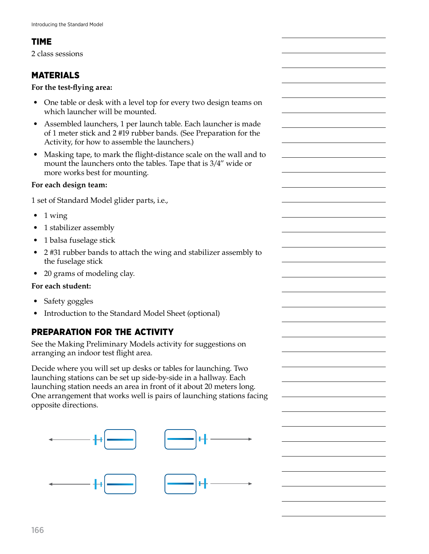# TIME

2 class sessions

# MATERIALS

#### **For the test-flying area:**

- One table or desk with a level top for every two design teams on which launcher will be mounted.
- Assembled launchers, 1 per launch table. Each launcher is made of 1 meter stick and 2 #19 rubber bands. (See Preparation for the Activity, for how to assemble the launchers.)
- Masking tape, to mark the flight-distance scale on the wall and to mount the launchers onto the tables. Tape that is 3/4" wide or more works best for mounting.

### **For each design team:**

1 set of Standard Model glider parts, i.e.,

- $\bullet$  1 wing
- 1 stabilizer assembly
- 1 balsa fuselage stick
- 2 #31 rubber bands to attach the wing and stabilizer assembly to the fuselage stick
- 20 grams of modeling clay.

## **For each student:**

- Safety goggles
- Introduction to the Standard Model Sheet (optional)

# PREPARATION FOR THE ACTIVITY

See the Making Preliminary Models activity for suggestions on arranging an indoor test flight area.

Decide where you will set up desks or tables for launching. Two launching stations can be set up side-by-side in a hallway. Each launching station needs an area in front of it about 20 meters long. One arrangement that works well is pairs of launching stations facing opposite directions.

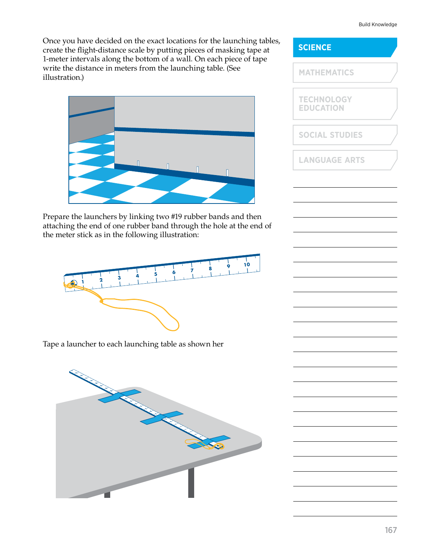#### Build Knowledge

Once you have decided on the exact locations for the launching tables, create the flight-distance scale by putting pieces of masking tape at 1-meter intervals along the bottom of a wall. On each piece of tape write the distance in meters from the launching table. (See illustration.)



Prepare the launchers by linking two #19 rubber bands and then attaching the end of one rubber band through the hole at the end of the meter stick as in the following illustration:



Tape a launcher to each launching table as shown her



# **SCIENCE TECHNOLOGY EDUCATION MATHEMATICS SOCIAL STUDIES LANGUAGE ARTS**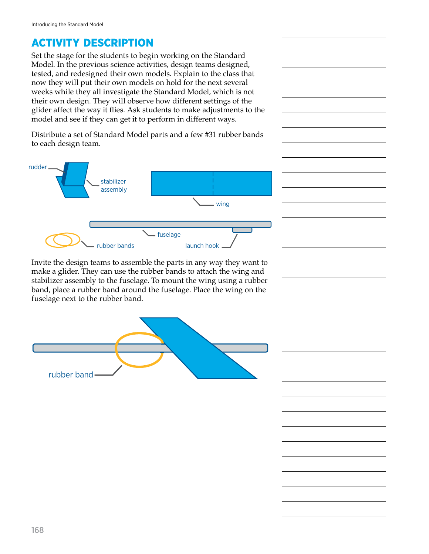# ACTIVITY DESCRIPTION

Set the stage for the students to begin working on the Standard Model. In the previous science activities, design teams designed, tested, and redesigned their own models. Explain to the class that now they will put their own models on hold for the next several weeks while they all investigate the Standard Model, which is not their own design. They will observe how different settings of the glider affect the way it flies. Ask students to make adjustments to the model and see if they can get it to perform in different ways.

Distribute a set of Standard Model parts and a few #31 rubber bands to each design team.



Invite the design teams to assemble the parts in any way they want to make a glider. They can use the rubber bands to attach the wing and stabilizer assembly to the fuselage. To mount the wing using a rubber band, place a rubber band around the fuselage. Place the wing on the fuselage next to the rubber band.

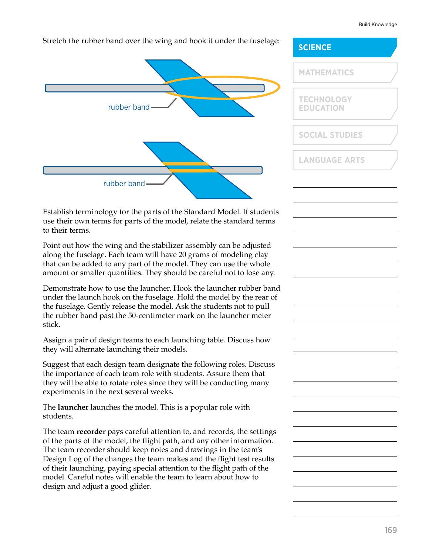#### Build Knowledge

#### Stretch the rubber band over the wing and hook it under the fuselage:



Establish terminology for the parts of the Standard Model. If students use their own terms for parts of the model, relate the standard terms to their terms.

Point out how the wing and the stabilizer assembly can be adjusted along the fuselage. Each team will have 20 grams of modeling clay that can be added to any part of the model. They can use the whole amount or smaller quantities. They should be careful not to lose any.

Demonstrate how to use the launcher. Hook the launcher rubber band under the launch hook on the fuselage. Hold the model by the rear of the fuselage. Gently release the model. Ask the students not to pull the rubber band past the 50-centimeter mark on the launcher meter stick.

Assign a pair of design teams to each launching table. Discuss how they will alternate launching their models.

Suggest that each design team designate the following roles. Discuss the importance of each team role with students. Assure them that they will be able to rotate roles since they will be conducting many experiments in the next several weeks.

The **launcher** launches the model. This is a popular role with students.

The team **recorder** pays careful attention to, and records, the settings of the parts of the model, the flight path, and any other information. The team recorder should keep notes and drawings in the team's Design Log of the changes the team makes and the flight test results of their launching, paying special attention to the flight path of the model. Careful notes will enable the team to learn about how to design and adjust a good glider.

# **SCIENCE TECHNOLOGY EDUCATION MATHEMATICS SOCIAL STUDIES LANGUAGE ARTS**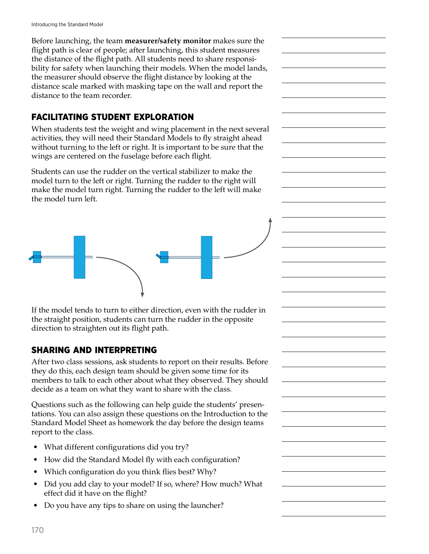Before launching, the team **measurer/safety monitor** makes sure the flight path is clear of people; after launching, this student measures the distance of the flight path. All students need to share responsibility for safety when launching their models. When the model lands, the measurer should observe the flight distance by looking at the distance scale marked with masking tape on the wall and report the distance to the team recorder.

# FACILITATING STUDENT EXPLORATION

When students test the weight and wing placement in the next several activities, they will need their Standard Models to fly straight ahead without turning to the left or right. It is important to be sure that the wings are centered on the fuselage before each flight.

Students can use the rudder on the vertical stabilizer to make the model turn to the left or right. Turning the rudder to the right will make the model turn right. Turning the rudder to the left will make the model turn left.



If the model tends to turn to either direction, even with the rudder in the straight position, students can turn the rudder in the opposite direction to straighten out its flight path.

# SHARING AND INTERPRETING

After two class sessions, ask students to report on their results. Before they do this, each design team should be given some time for its members to talk to each other about what they observed. They should decide as a team on what they want to share with the class.

Questions such as the following can help guide the students' presentations. You can also assign these questions on the Introduction to the Standard Model Sheet as homework the day before the design teams report to the class.

- What different configurations did you try?
- How did the Standard Model fly with each configuration?
- Which configuration do you think flies best? Why?
- Did you add clay to your model? If so, where? How much? What effect did it have on the flight?
- Do you have any tips to share on using the launcher?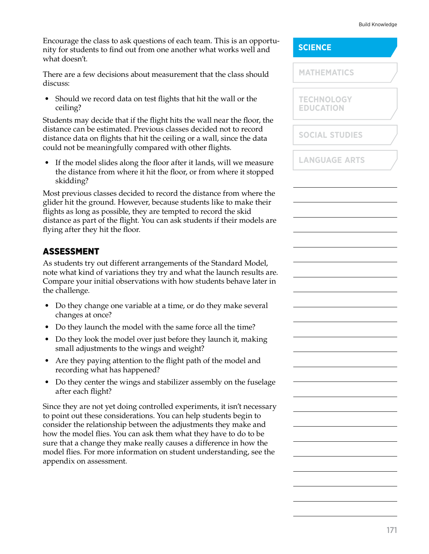#### Build Knowledge

Encourage the class to ask questions of each team. This is an opportunity for students to find out from one another what works well and what doesn't.

There are a few decisions about measurement that the class should discuss:

• Should we record data on test flights that hit the wall or the ceiling?

Students may decide that if the flight hits the wall near the floor, the distance can be estimated. Previous classes decided not to record distance data on flights that hit the ceiling or a wall, since the data could not be meaningfully compared with other flights.

• If the model slides along the floor after it lands, will we measure the distance from where it hit the floor, or from where it stopped skidding?

Most previous classes decided to record the distance from where the glider hit the ground. However, because students like to make their flights as long as possible, they are tempted to record the skid distance as part of the flight. You can ask students if their models are flying after they hit the floor.

# ASSESSMENT

As students try out different arrangements of the Standard Model, note what kind of variations they try and what the launch results are. Compare your initial observations with how students behave later in the challenge.

- Do they change one variable at a time, or do they make several changes at once?
- Do they launch the model with the same force all the time?
- Do they look the model over just before they launch it, making small adjustments to the wings and weight?
- Are they paying attention to the flight path of the model and recording what has happened?
- Do they center the wings and stabilizer assembly on the fuselage after each flight?

Since they are not yet doing controlled experiments, it isn't necessary to point out these considerations. You can help students begin to consider the relationship between the adjustments they make and how the model flies. You can ask them what they have to do to be sure that a change they make really causes a difference in how the model flies. For more information on student understanding, see the appendix on assessment.

|  | <b>SCIENCE</b> |  |  |  |  |
|--|----------------|--|--|--|--|
|  |                |  |  |  |  |
|  |                |  |  |  |  |

**TECHNOLOGY EDUCATION**

**SOCIAL STUDIES**

**LANGUAGE ARTS**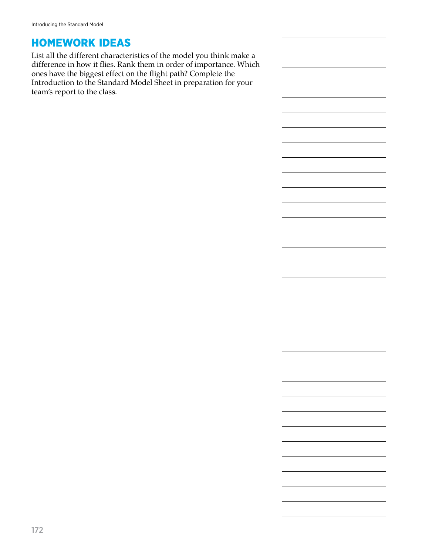# HOMEWORK IDEAS

List all the different characteristics of the model you think make a difference in how it flies. Rank them in order of importance. Which ones have the biggest effect on the flight path? Complete the Introduction to the Standard Model Sheet in preparation for your team's report to the class.